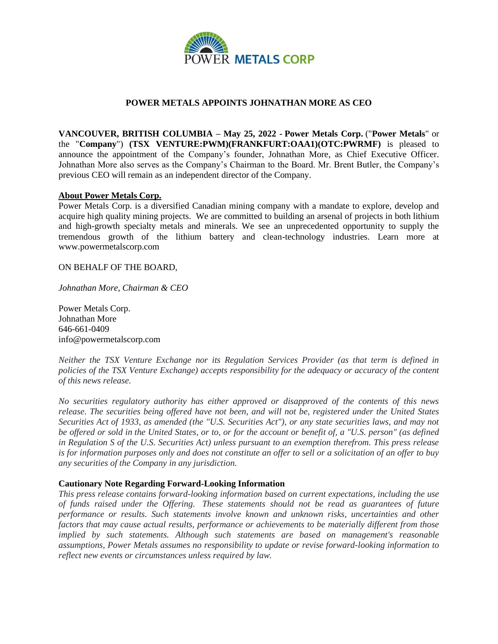

## **POWER METALS APPOINTS JOHNATHAN MORE AS CEO**

**VANCOUVER, BRITISH COLUMBIA – May 25, 2022 - Power Metals Corp.** ("**Power Metals**" or the "**Company**") **(TSX VENTURE:PWM)(FRANKFURT:OAA1)(OTC:PWRMF)** is pleased to announce the appointment of the Company's founder, Johnathan More, as Chief Executive Officer. Johnathan More also serves as the Company's Chairman to the Board. Mr. Brent Butler, the Company's previous CEO will remain as an independent director of the Company.

## **About Power Metals Corp.**

Power Metals Corp. is a diversified Canadian mining company with a mandate to explore, develop and acquire high quality mining projects. We are committed to building an arsenal of projects in both lithium and high-growth specialty metals and minerals. We see an unprecedented opportunity to supply the tremendous growth of the lithium battery and clean-technology industries. Learn more at www.powermetalscorp.com

ON BEHALF OF THE BOARD,

*Johnathan More, Chairman & CEO*

Power Metals Corp. Johnathan More 646-661-0409 info@powermetalscorp.com

*Neither the TSX Venture Exchange nor its Regulation Services Provider (as that term is defined in policies of the TSX Venture Exchange) accepts responsibility for the adequacy or accuracy of the content of this news release.*

*No securities regulatory authority has either approved or disapproved of the contents of this news release. The securities being offered have not been, and will not be, registered under the United States Securities Act of 1933, as amended (the "U.S. Securities Act"), or any state securities laws, and may not be offered or sold in the United States, or to, or for the account or benefit of, a "U.S. person" (as defined in Regulation S of the U.S. Securities Act) unless pursuant to an exemption therefrom. This press release is for information purposes only and does not constitute an offer to sell or a solicitation of an offer to buy any securities of the Company in any jurisdiction.*

## **Cautionary Note Regarding Forward-Looking Information**

*This press release contains forward-looking information based on current expectations, including the use of funds raised under the Offering. These statements should not be read as guarantees of future performance or results. Such statements involve known and unknown risks, uncertainties and other factors that may cause actual results, performance or achievements to be materially different from those implied by such statements. Although such statements are based on management's reasonable assumptions, Power Metals assumes no responsibility to update or revise forward-looking information to reflect new events or circumstances unless required by law.*